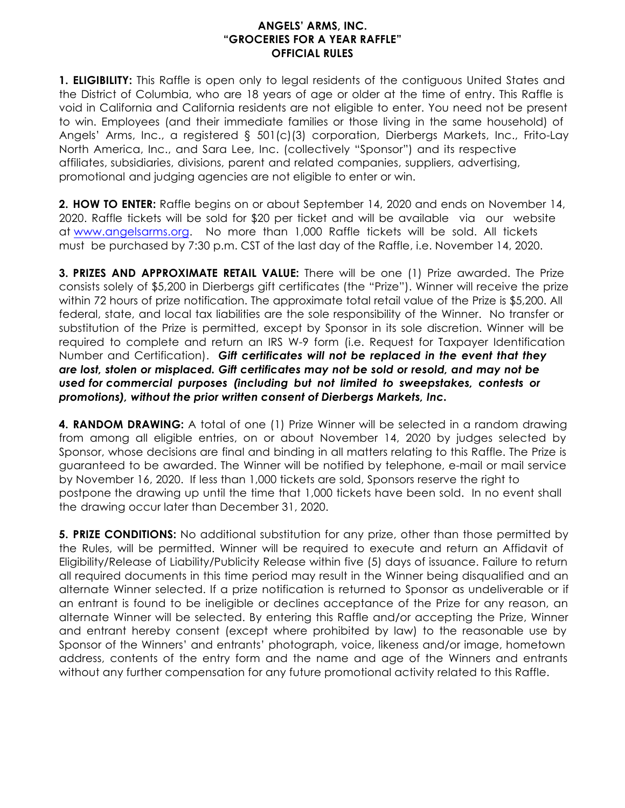## **ANGELS' ARMS, INC. "GROCERIES FOR A YEAR RAFFLE" OFFICIAL RULES**

**1. ELIGIBILITY:** This Raffle is open only to legal residents of the contiguous United States and the District of Columbia, who are 18 years of age or older at the time of entry. This Raffle is void in California and California residents are not eligible to enter. You need not be present to win. Employees (and their immediate families or those living in the same household) of Angels' Arms, Inc., a registered § 501(c)(3) corporation, Dierbergs Markets, Inc., Frito-Lay North America, Inc., and Sara Lee, Inc. (collectively "Sponsor") and its respective affiliates, subsidiaries, divisions, parent and related companies, suppliers, advertising, promotional and judging agencies are not eligible to enter or win.

**2. HOW TO ENTER:** Raffle begins on or about September 14, 2020 and ends on November 14, 2020. Raffle tickets will be sold for \$20 per ticket and will be available via our website at www.angelsarms.org. No more than 1,000 Raffle tickets will be sold. All tickets must be purchased by 7:30 p.m. CST of the last day of the Raffle, i.e. November 14, 2020.

**3. PRIZES AND APPROXIMATE RETAIL VALUE:** There will be one (1) Prize awarded. The Prize consists solely of \$5,200 in Dierbergs gift certificates (the "Prize"). Winner will receive the prize within 72 hours of prize notification. The approximate total retail value of the Prize is \$5,200. All federal, state, and local tax liabilities are the sole responsibility of the Winner. No transfer or substitution of the Prize is permitted, except by Sponsor in its sole discretion. Winner will be required to complete and return an IRS W-9 form (i.e. Request for Taxpayer Identification Number and Certification). *Gift certificates will not be replaced in the event that they are lost, stolen or misplaced. Gift certificates may not be sold or resold, and may not be used for commercial purposes (including but not limited to sweepstakes, contests or promotions), without the prior written consent of Dierbergs Markets, Inc.*

**4. RANDOM DRAWING:** A total of one (1) Prize Winner will be selected in a random drawing from among all eligible entries, on or about November 14, 2020 by judges selected by Sponsor, whose decisions are final and binding in all matters relating to this Raffle. The Prize is guaranteed to be awarded. The Winner will be notified by telephone, e-mail or mail service by November 16, 2020. If less than 1,000 tickets are sold, Sponsors reserve the right to postpone the drawing up until the time that 1,000 tickets have been sold. In no event shall the drawing occur later than December 31, 2020.

**5. PRIZE CONDITIONS:** No additional substitution for any prize, other than those permitted by the Rules, will be permitted. Winner will be required to execute and return an Affidavit of Eligibility/Release of Liability/Publicity Release within five (5) days of issuance. Failure to return all required documents in this time period may result in the Winner being disqualified and an alternate Winner selected. If a prize notification is returned to Sponsor as undeliverable or if an entrant is found to be ineligible or declines acceptance of the Prize for any reason, an alternate Winner will be selected. By entering this Raffle and/or accepting the Prize, Winner and entrant hereby consent (except where prohibited by law) to the reasonable use by Sponsor of the Winners' and entrants' photograph, voice, likeness and/or image, hometown address, contents of the entry form and the name and age of the Winners and entrants without any further compensation for any future promotional activity related to this Raffle.